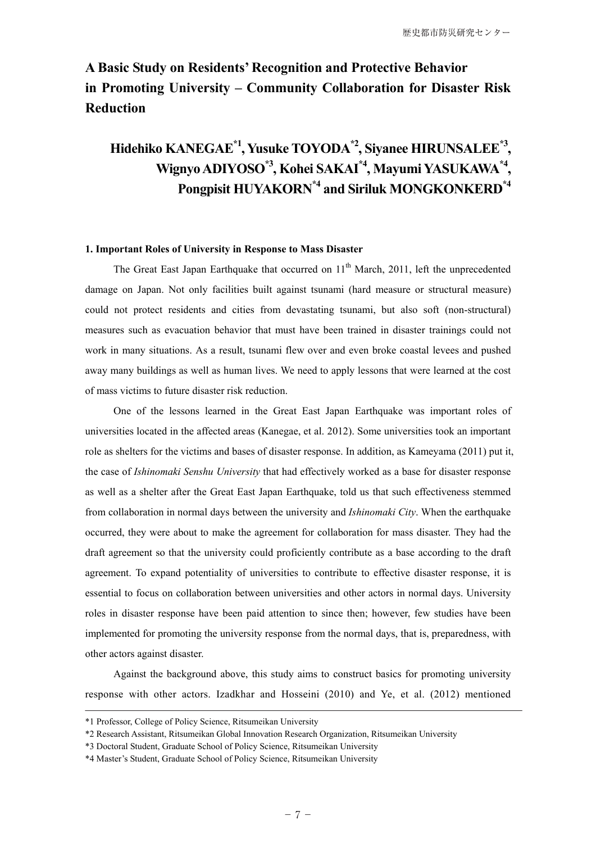# **A Basic Study on Residents' Recognition and Protective Behavior in Promoting University – Community Collaboration for Disaster Risk Reduction**

# **Hidehiko KANEGAE\*1, Yusuke TOYODA\*2, Siyanee HIRUNSALEE\*3 , Wignyo ADIYOSO\*3, Kohei SAKAI\*4, Mayumi YASUKAWA\*4 , Pongpisit HUYAKORN\*4 and Siriluk MONGKONKERD\*4**

## **1. Important Roles of University in Response to Mass Disaster**

The Great East Japan Earthquake that occurred on 11<sup>th</sup> March, 2011, left the unprecedented damage on Japan. Not only facilities built against tsunami (hard measure or structural measure) could not protect residents and cities from devastating tsunami, but also soft (non-structural) measures such as evacuation behavior that must have been trained in disaster trainings could not work in many situations. As a result, tsunami flew over and even broke coastal levees and pushed away many buildings as well as human lives. We need to apply lessons that were learned at the cost of mass victims to future disaster risk reduction.

 One of the lessons learned in the Great East Japan Earthquake was important roles of universities located in the affected areas (Kanegae, et al. 2012). Some universities took an important role as shelters for the victims and bases of disaster response. In addition, as Kameyama (2011) put it, the case of *Ishinomaki Senshu University* that had effectively worked as a base for disaster response as well as a shelter after the Great East Japan Earthquake, told us that such effectiveness stemmed from collaboration in normal days between the university and *Ishinomaki City*. When the earthquake occurred, they were about to make the agreement for collaboration for mass disaster. They had the draft agreement so that the university could proficiently contribute as a base according to the draft agreement. To expand potentiality of universities to contribute to effective disaster response, it is essential to focus on collaboration between universities and other actors in normal days. University roles in disaster response have been paid attention to since then; however, few studies have been implemented for promoting the university response from the normal days, that is, preparedness, with other actors against disaster.

 Against the background above, this study aims to construct basics for promoting university response with other actors. Izadkhar and Hosseini (2010) and Ye, et al. (2012) mentioned

<sup>\*1</sup> Professor, College of Policy Science, Ritsumeikan University

<sup>\*2</sup> Research Assistant, Ritsumeikan Global Innovation Research Organization, Ritsumeikan University

<sup>\*3</sup> Doctoral Student, Graduate School of Policy Science, Ritsumeikan University

<sup>\*4</sup> Master's Student, Graduate School of Policy Science, Ritsumeikan University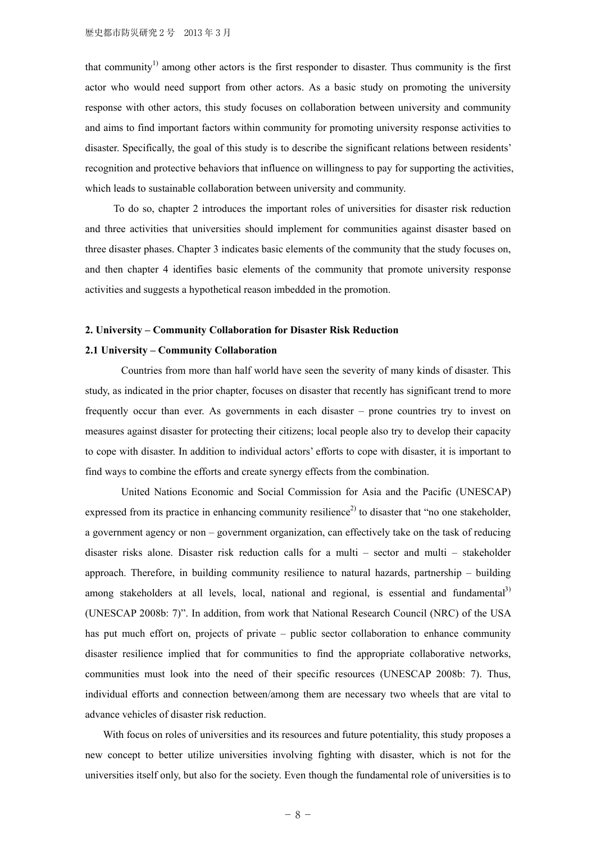that community<sup>1)</sup> among other actors is the first responder to disaster. Thus community is the first actor who would need support from other actors. As a basic study on promoting the university response with other actors, this study focuses on collaboration between university and community and aims to find important factors within community for promoting university response activities to disaster. Specifically, the goal of this study is to describe the significant relations between residents' recognition and protective behaviors that influence on willingness to pay for supporting the activities, which leads to sustainable collaboration between university and community.

 To do so, chapter 2 introduces the important roles of universities for disaster risk reduction and three activities that universities should implement for communities against disaster based on three disaster phases. Chapter 3 indicates basic elements of the community that the study focuses on, and then chapter 4 identifies basic elements of the community that promote university response activities and suggests a hypothetical reason imbedded in the promotion.

## **2. University – Community Collaboration for Disaster Risk Reduction**

## **2.1 University – Community Collaboration**

Countries from more than half world have seen the severity of many kinds of disaster. This study, as indicated in the prior chapter, focuses on disaster that recently has significant trend to more frequently occur than ever. As governments in each disaster – prone countries try to invest on measures against disaster for protecting their citizens; local people also try to develop their capacity to cope with disaster. In addition to individual actors' efforts to cope with disaster, it is important to find ways to combine the efforts and create synergy effects from the combination.

United Nations Economic and Social Commission for Asia and the Pacific (UNESCAP) expressed from its practice in enhancing community resilience<sup>2)</sup> to disaster that "no one stakeholder. a government agency or non – government organization, can effectively take on the task of reducing disaster risks alone. Disaster risk reduction calls for a multi – sector and multi – stakeholder approach. Therefore, in building community resilience to natural hazards, partnership – building among stakeholders at all levels, local, national and regional, is essential and fundamental<sup>3)</sup> (UNESCAP 2008b: 7)". In addition, from work that National Research Council (NRC) of the USA has put much effort on, projects of private – public sector collaboration to enhance community disaster resilience implied that for communities to find the appropriate collaborative networks, communities must look into the need of their specific resources (UNESCAP 2008b: 7). Thus, individual efforts and connection between/among them are necessary two wheels that are vital to advance vehicles of disaster risk reduction.

With focus on roles of universities and its resources and future potentiality, this study proposes a new concept to better utilize universities involving fighting with disaster, which is not for the universities itself only, but also for the society. Even though the fundamental role of universities is to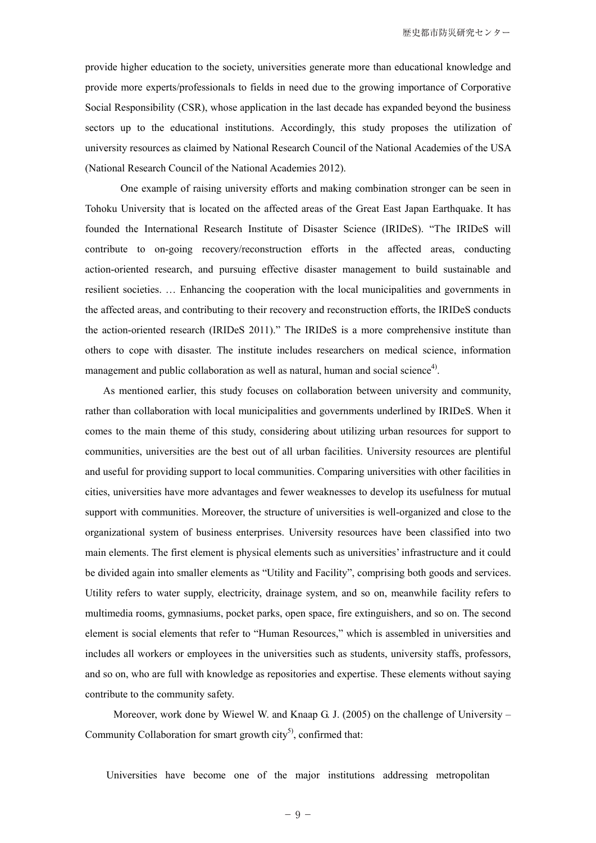provide higher education to the society, universities generate more than educational knowledge and provide more experts/professionals to fields in need due to the growing importance of Corporative Social Responsibility (CSR), whose application in the last decade has expanded beyond the business sectors up to the educational institutions. Accordingly, this study proposes the utilization of university resources as claimed by National Research Council of the National Academies of the USA (National Research Council of the National Academies 2012).

One example of raising university efforts and making combination stronger can be seen in Tohoku University that is located on the affected areas of the Great East Japan Earthquake. It has founded the International Research Institute of Disaster Science (IRIDeS). "The IRIDeS will contribute to on-going recovery/reconstruction efforts in the affected areas, conducting action-oriented research, and pursuing effective disaster management to build sustainable and resilient societies. … Enhancing the cooperation with the local municipalities and governments in the affected areas, and contributing to their recovery and reconstruction efforts, the IRIDeS conducts the action-oriented research (IRIDeS 2011)." The IRIDeS is a more comprehensive institute than others to cope with disaster. The institute includes researchers on medical science, information management and public collaboration as well as natural, human and social science<sup>4)</sup>.

 As mentioned earlier, this study focuses on collaboration between university and community, rather than collaboration with local municipalities and governments underlined by IRIDeS. When it comes to the main theme of this study, considering about utilizing urban resources for support to communities, universities are the best out of all urban facilities. University resources are plentiful and useful for providing support to local communities. Comparing universities with other facilities in cities, universities have more advantages and fewer weaknesses to develop its usefulness for mutual support with communities. Moreover, the structure of universities is well-organized and close to the organizational system of business enterprises. University resources have been classified into two main elements. The first element is physical elements such as universities' infrastructure and it could be divided again into smaller elements as "Utility and Facility", comprising both goods and services. Utility refers to water supply, electricity, drainage system, and so on, meanwhile facility refers to multimedia rooms, gymnasiums, pocket parks, open space, fire extinguishers, and so on. The second element is social elements that refer to "Human Resources," which is assembled in universities and includes all workers or employees in the universities such as students, university staffs, professors, and so on, who are full with knowledge as repositories and expertise. These elements without saying contribute to the community safety.

Moreover, work done by Wiewel W. and Knaap G. J. (2005) on the challenge of University – Community Collaboration for smart growth  $\text{city}^5$ , confirmed that:

Universities have become one of the major institutions addressing metropolitan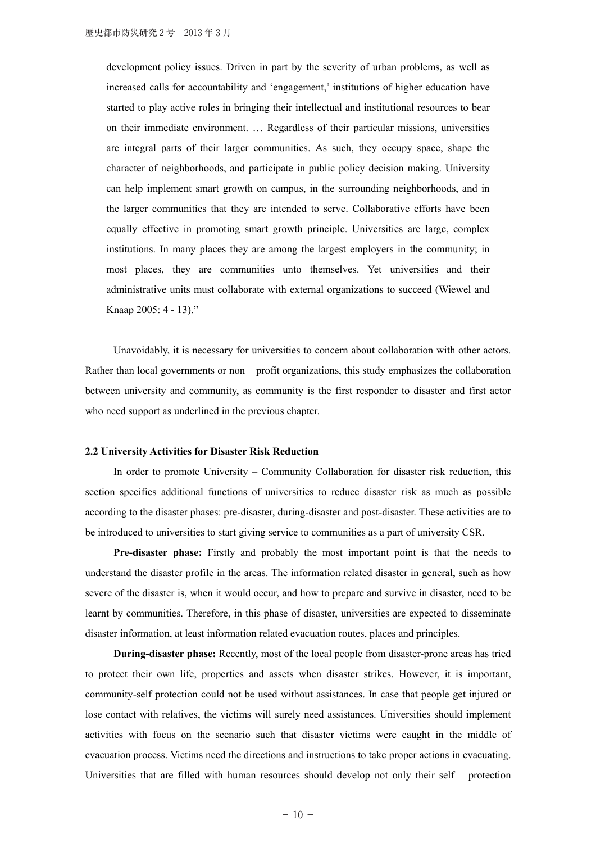development policy issues. Driven in part by the severity of urban problems, as well as increased calls for accountability and 'engagement,' institutions of higher education have started to play active roles in bringing their intellectual and institutional resources to bear on their immediate environment. … Regardless of their particular missions, universities are integral parts of their larger communities. As such, they occupy space, shape the character of neighborhoods, and participate in public policy decision making. University can help implement smart growth on campus, in the surrounding neighborhoods, and in the larger communities that they are intended to serve. Collaborative efforts have been equally effective in promoting smart growth principle. Universities are large, complex institutions. In many places they are among the largest employers in the community; in most places, they are communities unto themselves. Yet universities and their administrative units must collaborate with external organizations to succeed (Wiewel and Knaap 2005: 4 - 13)."

 Unavoidably, it is necessary for universities to concern about collaboration with other actors. Rather than local governments or non – profit organizations, this study emphasizes the collaboration between university and community, as community is the first responder to disaster and first actor who need support as underlined in the previous chapter.

#### **2.2 University Activities for Disaster Risk Reduction**

 In order to promote University – Community Collaboration for disaster risk reduction, this section specifies additional functions of universities to reduce disaster risk as much as possible according to the disaster phases: pre-disaster, during-disaster and post-disaster. These activities are to be introduced to universities to start giving service to communities as a part of university CSR.

**Pre-disaster phase:** Firstly and probably the most important point is that the needs to understand the disaster profile in the areas. The information related disaster in general, such as how severe of the disaster is, when it would occur, and how to prepare and survive in disaster, need to be learnt by communities. Therefore, in this phase of disaster, universities are expected to disseminate disaster information, at least information related evacuation routes, places and principles.

**During-disaster phase:** Recently, most of the local people from disaster-prone areas has tried to protect their own life, properties and assets when disaster strikes. However, it is important, community-self protection could not be used without assistances. In case that people get injured or lose contact with relatives, the victims will surely need assistances. Universities should implement activities with focus on the scenario such that disaster victims were caught in the middle of evacuation process. Victims need the directions and instructions to take proper actions in evacuating. Universities that are filled with human resources should develop not only their self – protection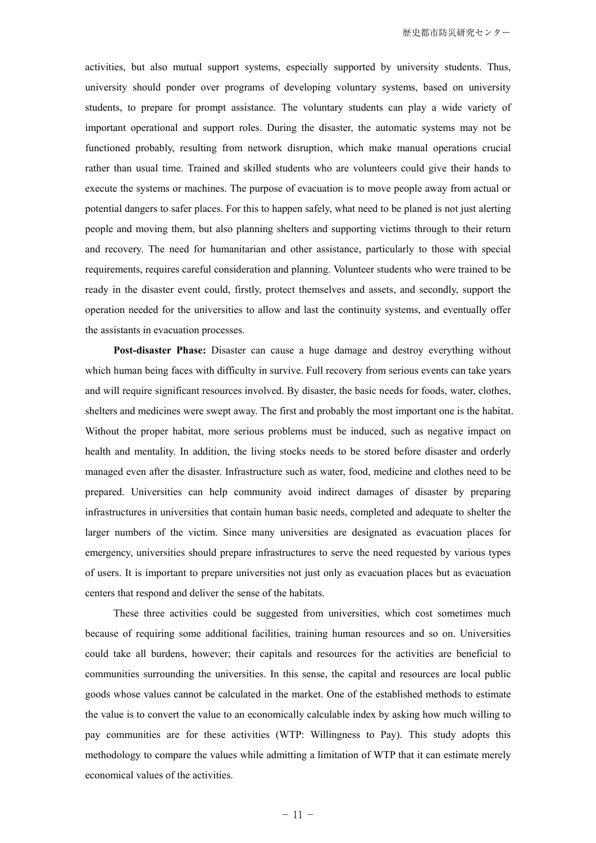activities, but also mutual support systems, especially supported by university students. Thus, university should ponder over programs of developing voluntary systems, based on university students, to prepare for prompt assistance. The voluntary students can play a wide variety of important operational and support roles. During the disaster, the automatic systems may not be functioned probably, resulting from network disruption, which make manual operations crucial rather than usual time. Trained and skilled students who are volunteers could give their hands to execute the systems or machines. The purpose of evacuation is to move people away from actual or potential dangers to safer places. For this to happen safely, what need to be planed is not just alerting people and moving them, but also planning shelters and supporting victims through to their return and recovery. The need for humanitarian and other assistance, particularly to those with special requirements, requires careful consideration and planning. Volunteer students who were trained to be ready in the disaster event could, firstly, protect themselves and assets, and secondly, support the operation needed for the universities to allow and last the continuity systems, and eventually offer the assistants in evacuation processes.

**Post-disaster Phase:** Disaster can cause a huge damage and destroy everything without which human being faces with difficulty in survive. Full recovery from serious events can take years and will require significant resources involved. By disaster, the basic needs for foods, water, clothes, shelters and medicines were swept away. The first and probably the most important one is the habitat. Without the proper habitat, more serious problems must be induced, such as negative impact on health and mentality. In addition, the living stocks needs to be stored before disaster and orderly managed even after the disaster. Infrastructure such as water, food, medicine and clothes need to be prepared. Universities can help community avoid indirect damages of disaster by preparing infrastructures in universities that contain human basic needs, completed and adequate to shelter the larger numbers of the victim. Since many universities are designated as evacuation places for emergency, universities should prepare infrastructures to serve the need requested by various types of users. It is important to prepare universities not just only as evacuation places but as evacuation centers that respond and deliver the sense of the habitats.

 These three activities could be suggested from universities, which cost sometimes much because of requiring some additional facilities, training human resources and so on. Universities could take all burdens, however; their capitals and resources for the activities are beneficial to communities surrounding the universities. In this sense, the capital and resources are local public goods whose values cannot be calculated in the market. One of the established methods to estimate the value is to convert the value to an economically calculable index by asking how much willing to pay communities are for these activities (WTP: Willingness to Pay). This study adopts this methodology to compare the values while admitting a limitation of WTP that it can estimate merely economical values of the activities.

 $-11 -$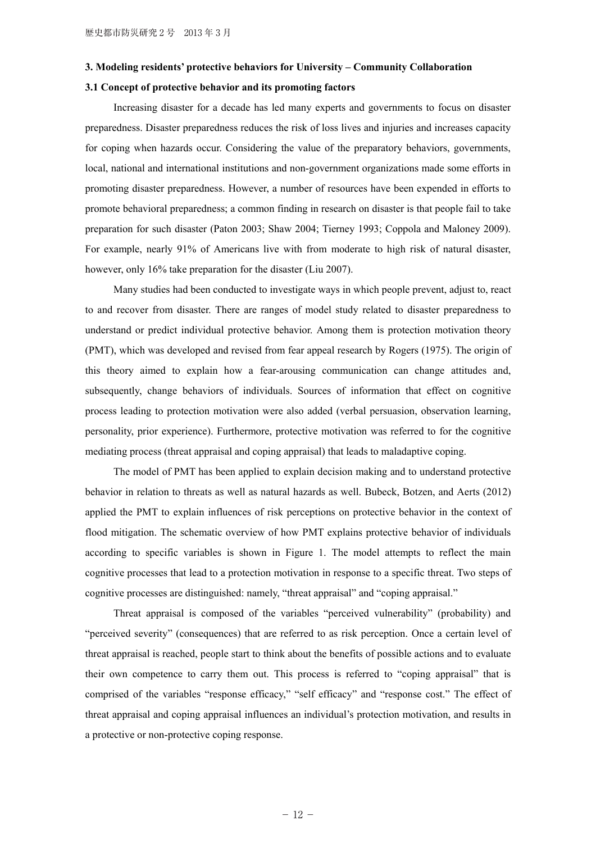#### **3. Modeling residents' protective behaviors for University – Community Collaboration**

#### **3.1 Concept of protective behavior and its promoting factors**

 Increasing disaster for a decade has led many experts and governments to focus on disaster preparedness. Disaster preparedness reduces the risk of loss lives and injuries and increases capacity for coping when hazards occur. Considering the value of the preparatory behaviors, governments, local, national and international institutions and non-government organizations made some efforts in promoting disaster preparedness. However, a number of resources have been expended in efforts to promote behavioral preparedness; a common finding in research on disaster is that people fail to take preparation for such disaster (Paton 2003; Shaw 2004; Tierney 1993; Coppola and Maloney 2009). For example, nearly 91% of Americans live with from moderate to high risk of natural disaster, however, only 16% take preparation for the disaster (Liu 2007).

 Many studies had been conducted to investigate ways in which people prevent, adjust to, react to and recover from disaster. There are ranges of model study related to disaster preparedness to understand or predict individual protective behavior. Among them is protection motivation theory (PMT), which was developed and revised from fear appeal research by Rogers (1975). The origin of this theory aimed to explain how a fear-arousing communication can change attitudes and, subsequently, change behaviors of individuals. Sources of information that effect on cognitive process leading to protection motivation were also added (verbal persuasion, observation learning, personality, prior experience). Furthermore, protective motivation was referred to for the cognitive mediating process (threat appraisal and coping appraisal) that leads to maladaptive coping.

 The model of PMT has been applied to explain decision making and to understand protective behavior in relation to threats as well as natural hazards as well. Bubeck, Botzen, and Aerts (2012) applied the PMT to explain influences of risk perceptions on protective behavior in the context of flood mitigation. The schematic overview of how PMT explains protective behavior of individuals according to specific variables is shown in Figure 1. The model attempts to reflect the main cognitive processes that lead to a protection motivation in response to a specific threat. Two steps of cognitive processes are distinguished: namely, "threat appraisal" and "coping appraisal."

 Threat appraisal is composed of the variables "perceived vulnerability" (probability) and "perceived severity" (consequences) that are referred to as risk perception. Once a certain level of threat appraisal is reached, people start to think about the benefits of possible actions and to evaluate their own competence to carry them out. This process is referred to "coping appraisal" that is comprised of the variables "response efficacy," "self efficacy" and "response cost." The effect of threat appraisal and coping appraisal influences an individual's protection motivation, and results in a protective or non-protective coping response.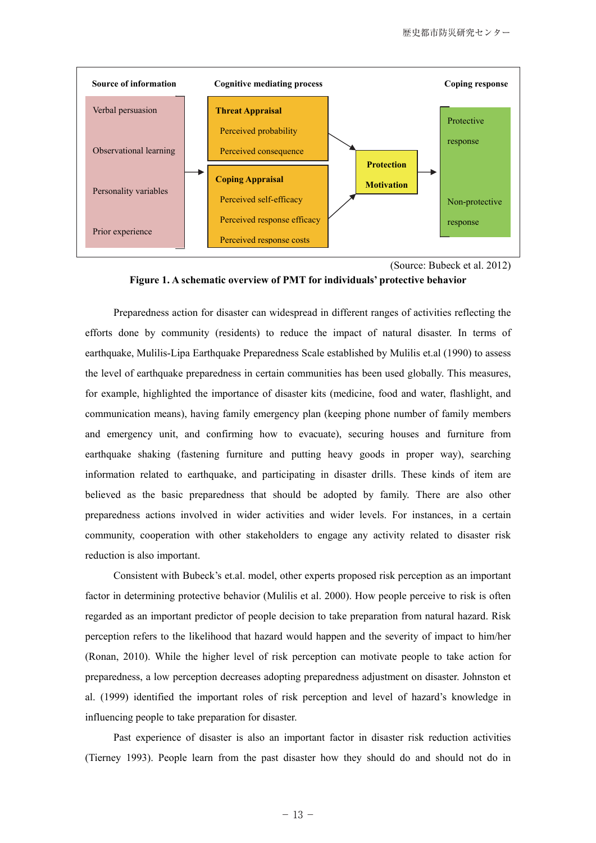

<sup>(</sup>Source: Bubeck et al. 2012)



 Preparedness action for disaster can widespread in different ranges of activities reflecting the efforts done by community (residents) to reduce the impact of natural disaster. In terms of earthquake, Mulilis-Lipa Earthquake Preparedness Scale established by Mulilis et.al (1990) to assess the level of earthquake preparedness in certain communities has been used globally. This measures, for example, highlighted the importance of disaster kits (medicine, food and water, flashlight, and communication means), having family emergency plan (keeping phone number of family members and emergency unit, and confirming how to evacuate), securing houses and furniture from earthquake shaking (fastening furniture and putting heavy goods in proper way), searching information related to earthquake, and participating in disaster drills. These kinds of item are believed as the basic preparedness that should be adopted by family. There are also other preparedness actions involved in wider activities and wider levels. For instances, in a certain community, cooperation with other stakeholders to engage any activity related to disaster risk reduction is also important.

 Consistent with Bubeck's et.al. model, other experts proposed risk perception as an important factor in determining protective behavior (Mulilis et al. 2000). How people perceive to risk is often regarded as an important predictor of people decision to take preparation from natural hazard. Risk perception refers to the likelihood that hazard would happen and the severity of impact to him/her (Ronan, 2010). While the higher level of risk perception can motivate people to take action for preparedness, a low perception decreases adopting preparedness adjustment on disaster. Johnston et al. (1999) identified the important roles of risk perception and level of hazard's knowledge in influencing people to take preparation for disaster.

 Past experience of disaster is also an important factor in disaster risk reduction activities (Tierney 1993). People learn from the past disaster how they should do and should not do in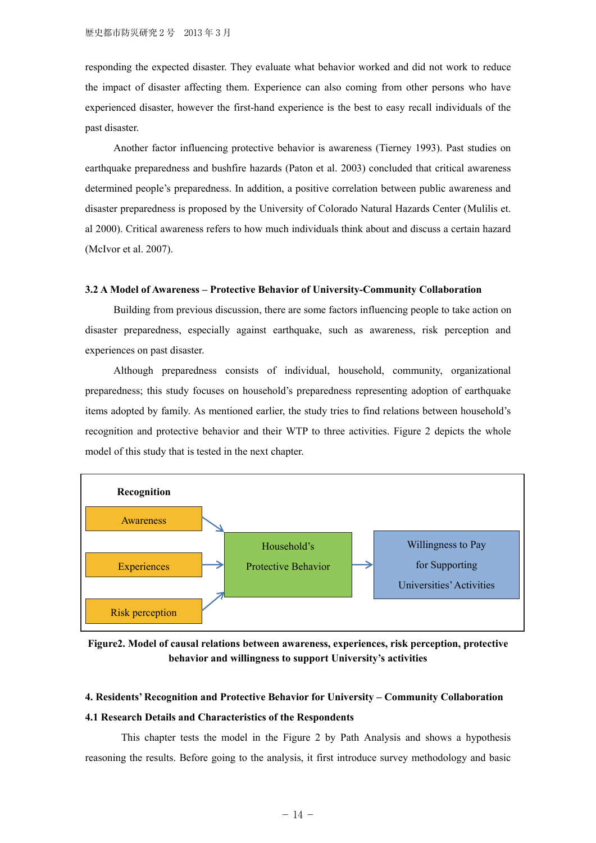responding the expected disaster. They evaluate what behavior worked and did not work to reduce the impact of disaster affecting them. Experience can also coming from other persons who have experienced disaster, however the first-hand experience is the best to easy recall individuals of the past disaster.

 Another factor influencing protective behavior is awareness (Tierney 1993). Past studies on earthquake preparedness and bushfire hazards (Paton et al. 2003) concluded that critical awareness determined people's preparedness. In addition, a positive correlation between public awareness and disaster preparedness is proposed by the University of Colorado Natural Hazards Center (Mulilis et. al 2000). Critical awareness refers to how much individuals think about and discuss a certain hazard (McIvor et al. 2007).

### **3.2 A Model of Awareness – Protective Behavior of University-Community Collaboration**

 Building from previous discussion, there are some factors influencing people to take action on disaster preparedness, especially against earthquake, such as awareness, risk perception and experiences on past disaster.

 Although preparedness consists of individual, household, community, organizational preparedness; this study focuses on household's preparedness representing adoption of earthquake items adopted by family. As mentioned earlier, the study tries to find relations between household's recognition and protective behavior and their WTP to three activities. Figure 2 depicts the whole model of this study that is tested in the next chapter.



**Figure2. Model of causal relations between awareness, experiences, risk perception, protective behavior and willingness to support University's activities** 

# **4. Residents' Recognition and Protective Behavior for University – Community Collaboration**

## **4.1 Research Details and Characteristics of the Respondents**

This chapter tests the model in the Figure 2 by Path Analysis and shows a hypothesis reasoning the results. Before going to the analysis, it first introduce survey methodology and basic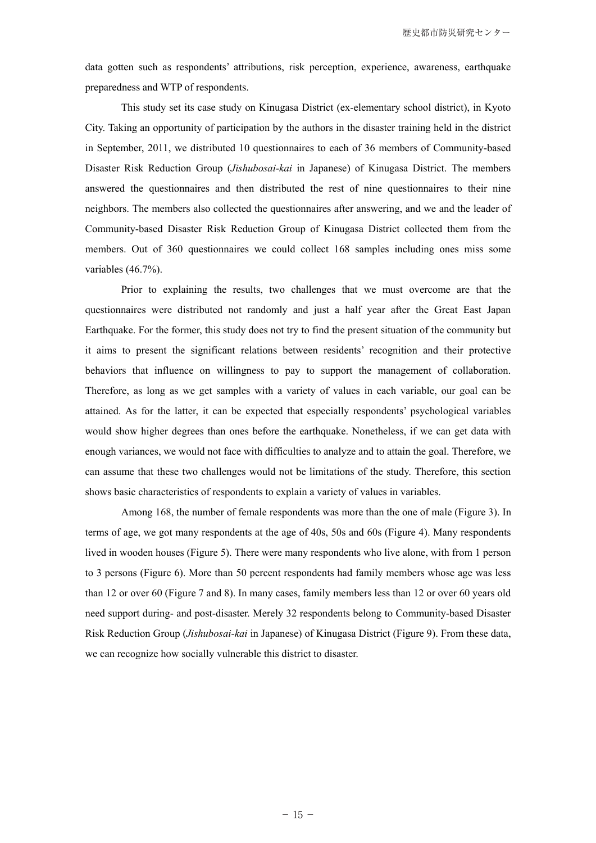data gotten such as respondents' attributions, risk perception, experience, awareness, earthquake preparedness and WTP of respondents.

This study set its case study on Kinugasa District (ex-elementary school district), in Kyoto City. Taking an opportunity of participation by the authors in the disaster training held in the district in September, 2011, we distributed 10 questionnaires to each of 36 members of Community-based Disaster Risk Reduction Group (*Jishubosai-kai* in Japanese) of Kinugasa District. The members answered the questionnaires and then distributed the rest of nine questionnaires to their nine neighbors. The members also collected the questionnaires after answering, and we and the leader of Community-based Disaster Risk Reduction Group of Kinugasa District collected them from the members. Out of 360 questionnaires we could collect 168 samples including ones miss some variables (46.7%).

Prior to explaining the results, two challenges that we must overcome are that the questionnaires were distributed not randomly and just a half year after the Great East Japan Earthquake. For the former, this study does not try to find the present situation of the community but it aims to present the significant relations between residents' recognition and their protective behaviors that influence on willingness to pay to support the management of collaboration. Therefore, as long as we get samples with a variety of values in each variable, our goal can be attained. As for the latter, it can be expected that especially respondents' psychological variables would show higher degrees than ones before the earthquake. Nonetheless, if we can get data with enough variances, we would not face with difficulties to analyze and to attain the goal. Therefore, we can assume that these two challenges would not be limitations of the study. Therefore, this section shows basic characteristics of respondents to explain a variety of values in variables.

Among 168, the number of female respondents was more than the one of male (Figure 3). In terms of age, we got many respondents at the age of 40s, 50s and 60s (Figure 4). Many respondents lived in wooden houses (Figure 5). There were many respondents who live alone, with from 1 person to 3 persons (Figure 6). More than 50 percent respondents had family members whose age was less than 12 or over 60 (Figure 7 and 8). In many cases, family members less than 12 or over 60 years old need support during- and post-disaster. Merely 32 respondents belong to Community-based Disaster Risk Reduction Group (*Jishubosai-kai* in Japanese) of Kinugasa District (Figure 9). From these data, we can recognize how socially vulnerable this district to disaster.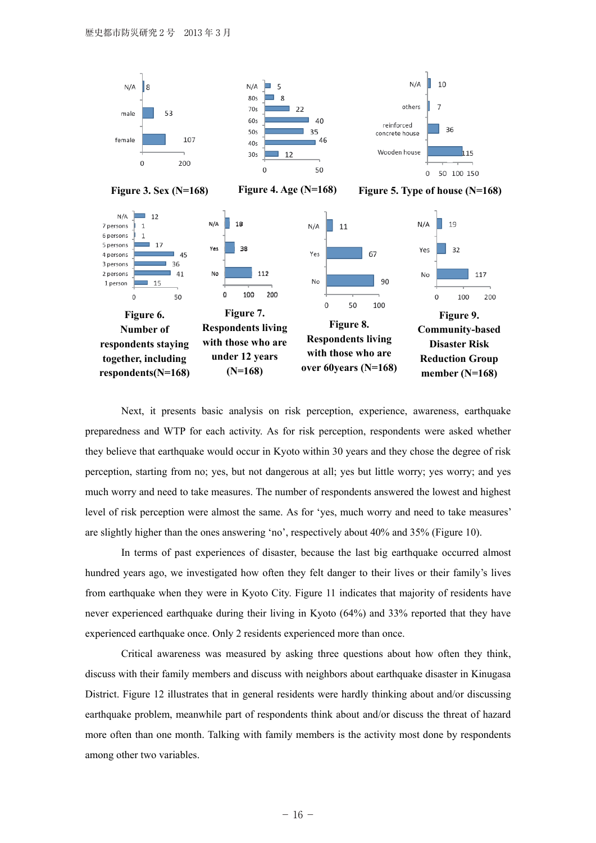

Next, it presents basic analysis on risk perception, experience, awareness, earthquake preparedness and WTP for each activity. As for risk perception, respondents were asked whether they believe that earthquake would occur in Kyoto within 30 years and they chose the degree of risk perception, starting from no; yes, but not dangerous at all; yes but little worry; yes worry; and yes much worry and need to take measures. The number of respondents answered the lowest and highest level of risk perception were almost the same. As for 'yes, much worry and need to take measures' are slightly higher than the ones answering 'no', respectively about 40% and 35% (Figure 10).

In terms of past experiences of disaster, because the last big earthquake occurred almost hundred years ago, we investigated how often they felt danger to their lives or their family's lives from earthquake when they were in Kyoto City. Figure 11 indicates that majority of residents have never experienced earthquake during their living in Kyoto (64%) and 33% reported that they have experienced earthquake once. Only 2 residents experienced more than once.

Critical awareness was measured by asking three questions about how often they think, discuss with their family members and discuss with neighbors about earthquake disaster in Kinugasa District. Figure 12 illustrates that in general residents were hardly thinking about and/or discussing earthquake problem, meanwhile part of respondents think about and/or discuss the threat of hazard more often than one month. Talking with family members is the activity most done by respondents among other two variables.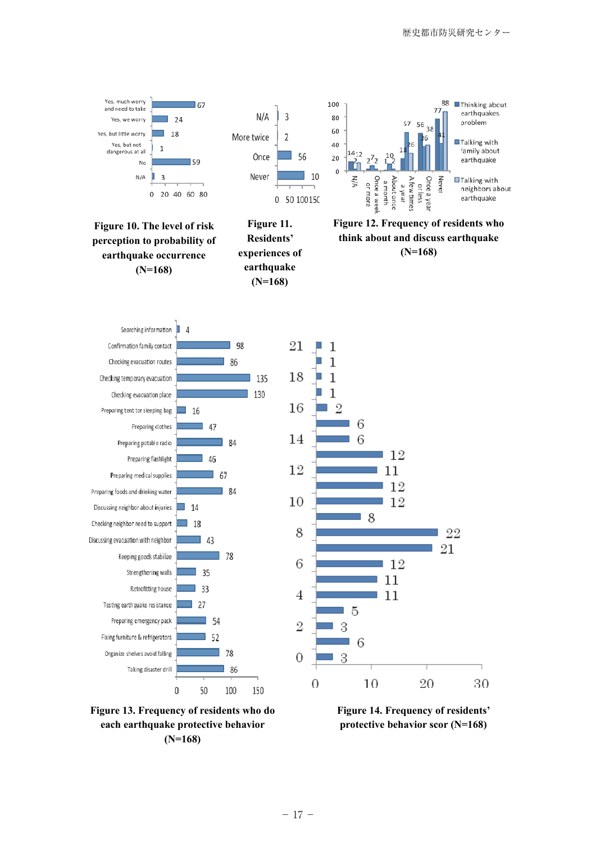



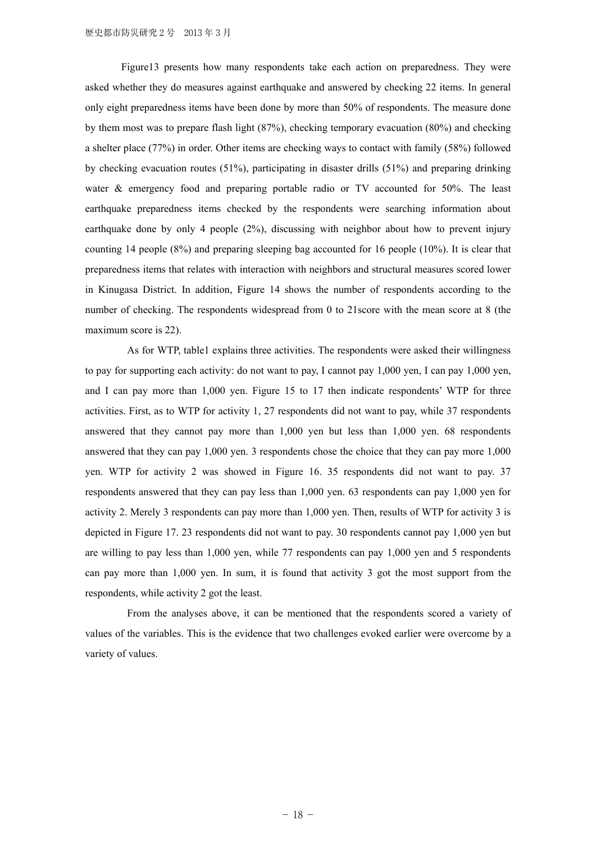Figure13 presents how many respondents take each action on preparedness. They were asked whether they do measures against earthquake and answered by checking 22 items. In general only eight preparedness items have been done by more than 50% of respondents. The measure done by them most was to prepare flash light (87%), checking temporary evacuation (80%) and checking a shelter place (77%) in order. Other items are checking ways to contact with family (58%) followed by checking evacuation routes (51%), participating in disaster drills (51%) and preparing drinking water & emergency food and preparing portable radio or TV accounted for 50%. The least earthquake preparedness items checked by the respondents were searching information about earthquake done by only 4 people (2%), discussing with neighbor about how to prevent injury counting 14 people (8%) and preparing sleeping bag accounted for 16 people (10%). It is clear that preparedness items that relates with interaction with neighbors and structural measures scored lower in Kinugasa District. In addition, Figure 14 shows the number of respondents according to the number of checking. The respondents widespread from 0 to 21score with the mean score at 8 (the maximum score is 22).

As for WTP, table1 explains three activities. The respondents were asked their willingness to pay for supporting each activity: do not want to pay, I cannot pay 1,000 yen, I can pay 1,000 yen, and I can pay more than 1,000 yen. Figure 15 to 17 then indicate respondents' WTP for three activities. First, as to WTP for activity 1, 27 respondents did not want to pay, while 37 respondents answered that they cannot pay more than 1,000 yen but less than 1,000 yen. 68 respondents answered that they can pay 1,000 yen. 3 respondents chose the choice that they can pay more 1,000 yen. WTP for activity 2 was showed in Figure 16. 35 respondents did not want to pay. 37 respondents answered that they can pay less than 1,000 yen. 63 respondents can pay 1,000 yen for activity 2. Merely 3 respondents can pay more than 1,000 yen. Then, results of WTP for activity 3 is depicted in Figure 17. 23 respondents did not want to pay. 30 respondents cannot pay 1,000 yen but are willing to pay less than 1,000 yen, while 77 respondents can pay 1,000 yen and 5 respondents can pay more than 1,000 yen. In sum, it is found that activity 3 got the most support from the respondents, while activity 2 got the least.

 From the analyses above, it can be mentioned that the respondents scored a variety of values of the variables. This is the evidence that two challenges evoked earlier were overcome by a variety of values.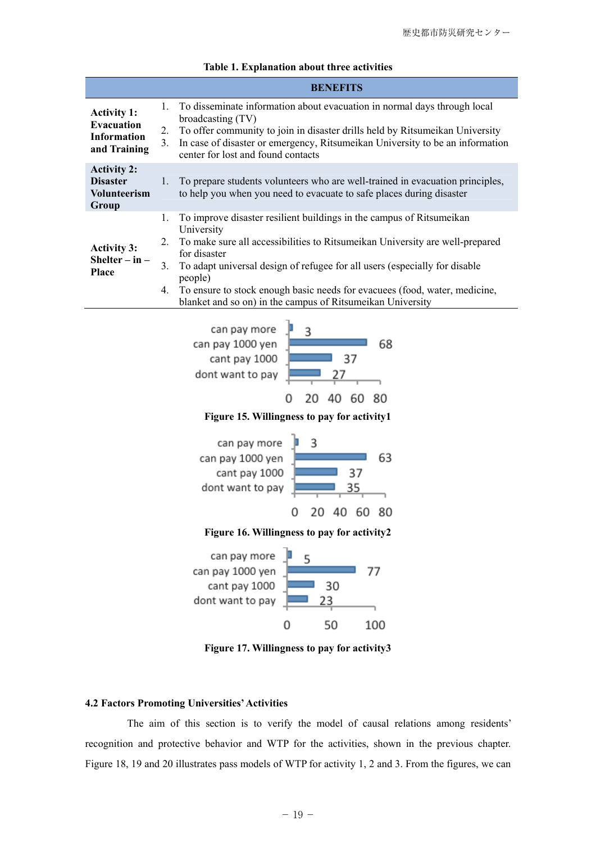|                                                                               | <b>BENEFITS</b>                                                                                                                                                                                                                                                                                                                                                                                                                                |
|-------------------------------------------------------------------------------|------------------------------------------------------------------------------------------------------------------------------------------------------------------------------------------------------------------------------------------------------------------------------------------------------------------------------------------------------------------------------------------------------------------------------------------------|
| <b>Activity 1:</b><br><b>Evacuation</b><br><b>Information</b><br>and Training | To disseminate information about evacuation in normal days through local<br>1.<br>broadcasting (TV)<br>To offer community to join in disaster drills held by Ritsumeikan University<br>2.<br>In case of disaster or emergency, Ritsumeikan University to be an information<br>3.<br>center for lost and found contacts                                                                                                                         |
| <b>Activity 2:</b><br><b>Disaster</b><br><b>Volunteerism</b><br>Group         | To prepare students volunteers who are well-trained in evacuation principles,<br>1.<br>to help you when you need to evacuate to safe places during disaster                                                                                                                                                                                                                                                                                    |
| <b>Activity 3:</b><br>Shelter $-$ in $-$<br><b>Place</b>                      | To improve disaster resilient buildings in the campus of Ritsumeikan<br>1.<br>University<br>To make sure all accessibilities to Ritsumeikan University are well-prepared<br>2.<br>for disaster<br>To adapt universal design of refugee for all users (especially for disable<br>3<br>people)<br>To ensure to stock enough basic needs for evacuees (food, water, medicine,<br>4.<br>blanket and so on) in the campus of Ritsumeikan University |

|  | Table 1. Explanation about three activities |  |  |
|--|---------------------------------------------|--|--|
|--|---------------------------------------------|--|--|



**Figure 15. Willingness to pay for activity1** 



**Figure 16. Willingness to pay for activity2**



**Figure 17. Willingness to pay for activity3**

## **4.2 Factors Promoting Universities' Activities**

The aim of this section is to verify the model of causal relations among residents' recognition and protective behavior and WTP for the activities, shown in the previous chapter. Figure 18, 19 and 20 illustrates pass models of WTP for activity 1, 2 and 3. From the figures, we can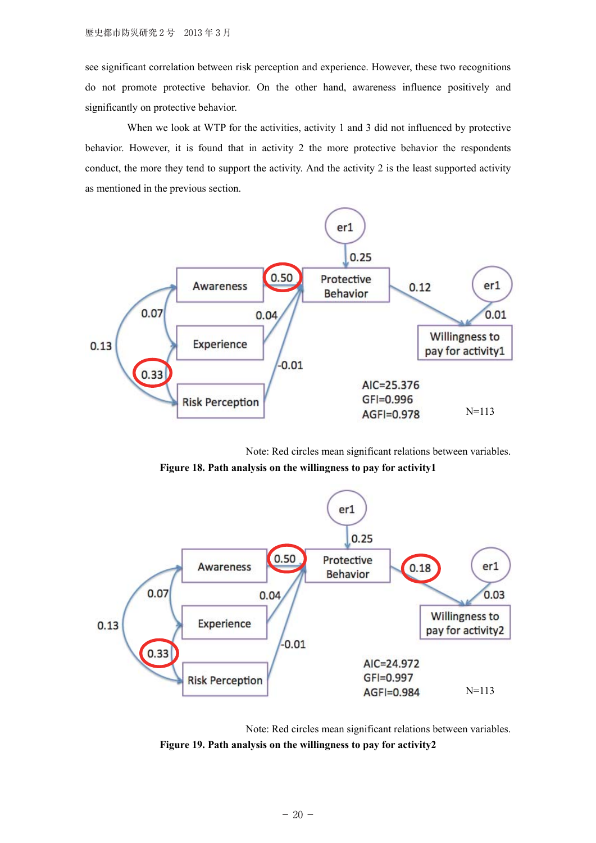see significant correlation between risk perception and experience. However, these two recognitions do not promote protective behavior. On the other hand, awareness influence positively and significantly on protective behavior.

When we look at WTP for the activities, activity 1 and 3 did not influenced by protective behavior. However, it is found that in activity 2 the more protective behavior the respondents conduct, the more they tend to support the activity. And the activity 2 is the least supported activity as mentioned in the previous section.



Note: Red circles mean significant relations between variables.

**Figure 18. Path analysis on the willingness to pay for activity1** 



Note: Red circles mean significant relations between variables. **Figure 19. Path analysis on the willingness to pay for activity2**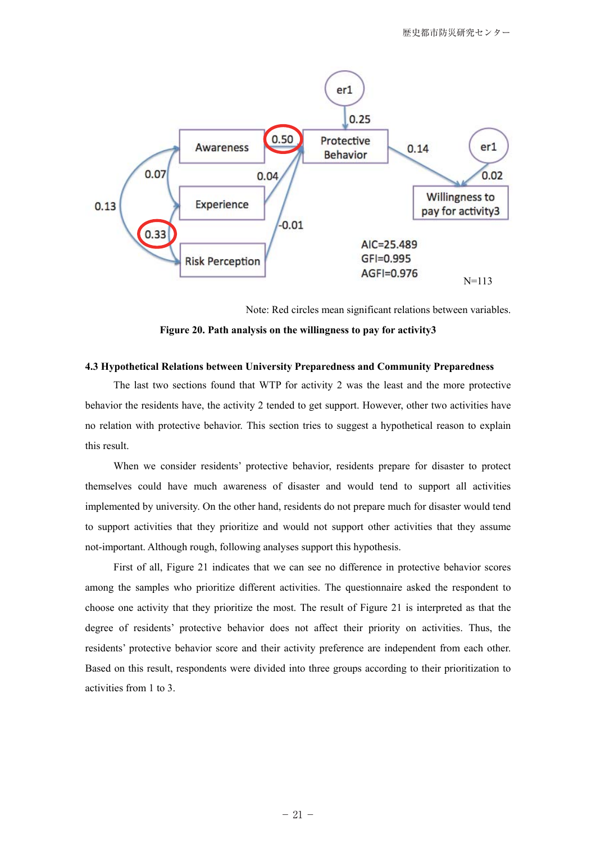

Note: Red circles mean significant relations between variables.

**Figure 20. Path analysis on the willingness to pay for activity3** 

## **4.3 Hypothetical Relations between University Preparedness and Community Preparedness**

 The last two sections found that WTP for activity 2 was the least and the more protective behavior the residents have, the activity 2 tended to get support. However, other two activities have no relation with protective behavior. This section tries to suggest a hypothetical reason to explain this result.

 When we consider residents' protective behavior, residents prepare for disaster to protect themselves could have much awareness of disaster and would tend to support all activities implemented by university. On the other hand, residents do not prepare much for disaster would tend to support activities that they prioritize and would not support other activities that they assume not-important. Although rough, following analyses support this hypothesis.

 First of all, Figure 21 indicates that we can see no difference in protective behavior scores among the samples who prioritize different activities. The questionnaire asked the respondent to choose one activity that they prioritize the most. The result of Figure 21 is interpreted as that the degree of residents' protective behavior does not affect their priority on activities. Thus, the residents' protective behavior score and their activity preference are independent from each other. Based on this result, respondents were divided into three groups according to their prioritization to activities from 1 to 3.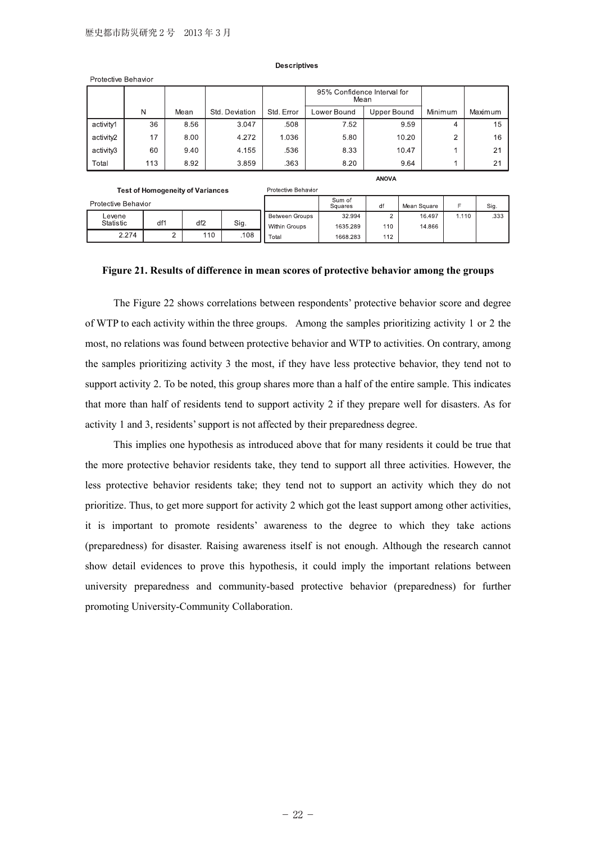**Test of Homogeneity of Variances** 

#### **Descriptives**

|           |     |      |                |            | 95% Confidence Interval for<br>Mean |                    |         |         |
|-----------|-----|------|----------------|------------|-------------------------------------|--------------------|---------|---------|
|           | N   | Mean | Std. Deviation | Std. Error | Lower Bound                         | <b>Upper Bound</b> | Minimum | Maximum |
| activity1 | 36  | 8.56 | 3.047          | .508       | 7.52                                | 9.59               | 4       | 15      |
| activity2 | 17  | 8.00 | 4.272          | 1.036      | 5.80                                | 10.20              | ◠       | 16      |
| activity3 | 60  | 9.40 | 4.155          | .536       | 8.33                                | 10.47              |         | 21      |
| Total     | 113 | 8.92 | 3.859          | .363       | 8.20                                | 9.64               |         | 21      |

**ANOVA** 

| Protective Behavior |     |                 |      |                | Sum of<br>Squares |     | Mean Square |       | Sig. |
|---------------------|-----|-----------------|------|----------------|-------------------|-----|-------------|-------|------|
| Levene              |     |                 |      | Between Groups | 32.994            |     | 16.497      | 1.110 | .333 |
| Statistic           | df1 | df <sub>2</sub> | Sig. | Within Groups  | 1635.289          | 110 | 14.866      |       |      |
| 2.274               | -   | 110             | .108 | Total          | 1668.283          | 112 |             |       |      |

Protective Behavior

#### **Figure 21. Results of difference in mean scores of protective behavior among the groups**

 The Figure 22 shows correlations between respondents' protective behavior score and degree of WTP to each activity within the three groups. Among the samples prioritizing activity 1 or 2 the most, no relations was found between protective behavior and WTP to activities. On contrary, among the samples prioritizing activity 3 the most, if they have less protective behavior, they tend not to support activity 2. To be noted, this group shares more than a half of the entire sample. This indicates that more than half of residents tend to support activity 2 if they prepare well for disasters. As for activity 1 and 3, residents' support is not affected by their preparedness degree.

 This implies one hypothesis as introduced above that for many residents it could be true that the more protective behavior residents take, they tend to support all three activities. However, the less protective behavior residents take; they tend not to support an activity which they do not prioritize. Thus, to get more support for activity 2 which got the least support among other activities, it is important to promote residents' awareness to the degree to which they take actions (preparedness) for disaster. Raising awareness itself is not enough. Although the research cannot show detail evidences to prove this hypothesis, it could imply the important relations between university preparedness and community-based protective behavior (preparedness) for further promoting University-Community Collaboration.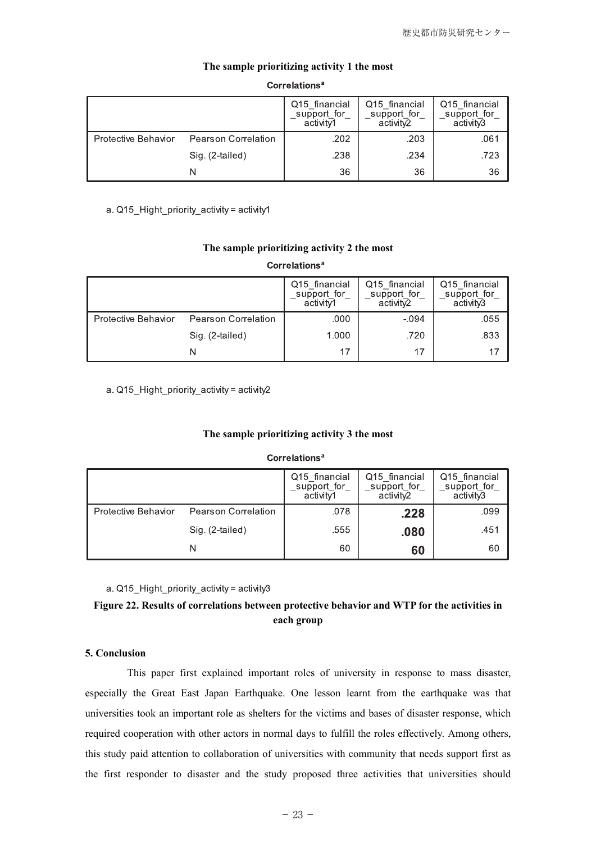|                     |                            | Q15 financial<br>support for<br>activitv1 | Q15 financial<br>support for<br>activity2 | Q15 financial<br>support for<br>activity3 |
|---------------------|----------------------------|-------------------------------------------|-------------------------------------------|-------------------------------------------|
| Protective Behavior | <b>Pearson Correlation</b> | .202                                      | .203                                      | .061                                      |
|                     | Sig. (2-tailed)            | .238                                      | .234                                      | .723                                      |
|                     |                            | 36                                        | 36                                        | 36                                        |

## **The sample prioritizing activity 1 the most**

## **Correlations<sup>a</sup>**

a. Q15\_Hight\_priority\_activity = activity1

## **The sample prioritizing activity 2 the most**

**Correlations<sup>a</sup>** 

|                     |                            | Q15 financial<br>support for<br>activity1 | Q15 financial<br>support for<br>activit <sub>v2</sub> | Q15 financial<br>support for<br>activitv3 |
|---------------------|----------------------------|-------------------------------------------|-------------------------------------------------------|-------------------------------------------|
| Protective Behavior | <b>Pearson Correlation</b> | .000                                      | $-.094$                                               | .055                                      |
|                     | Sig. (2-tailed)            | 1.000                                     | .720                                                  | .833                                      |
|                     |                            | 17                                        |                                                       |                                           |

a.  $Q15$  Hight priority activity = activity2

## **The sample prioritizing activity 3 the most**

**Correlations<sup>a</sup>** 

|                     |                            | Q15 financial<br>support for<br>activity1 | Q15 financial<br>support for<br>activit <sub>V2</sub> | Q15 financial<br>support for<br>activitv3 |
|---------------------|----------------------------|-------------------------------------------|-------------------------------------------------------|-------------------------------------------|
| Protective Behavior | <b>Pearson Correlation</b> | .078                                      | .228                                                  | .099                                      |
|                     | Sig. (2-tailed)            | .555                                      | .080                                                  | .451                                      |
|                     | N                          | 60                                        | 60                                                    | 60                                        |

a.  $Q15$  Hight priority activity = activity3

# **Figure 22. Results of correlations between protective behavior and WTP for the activities in each group**

## **5. Conclusion**

This paper first explained important roles of university in response to mass disaster, especially the Great East Japan Earthquake. One lesson learnt from the earthquake was that universities took an important role as shelters for the victims and bases of disaster response, which required cooperation with other actors in normal days to fulfill the roles effectively. Among others, this study paid attention to collaboration of universities with community that needs support first as the first responder to disaster and the study proposed three activities that universities should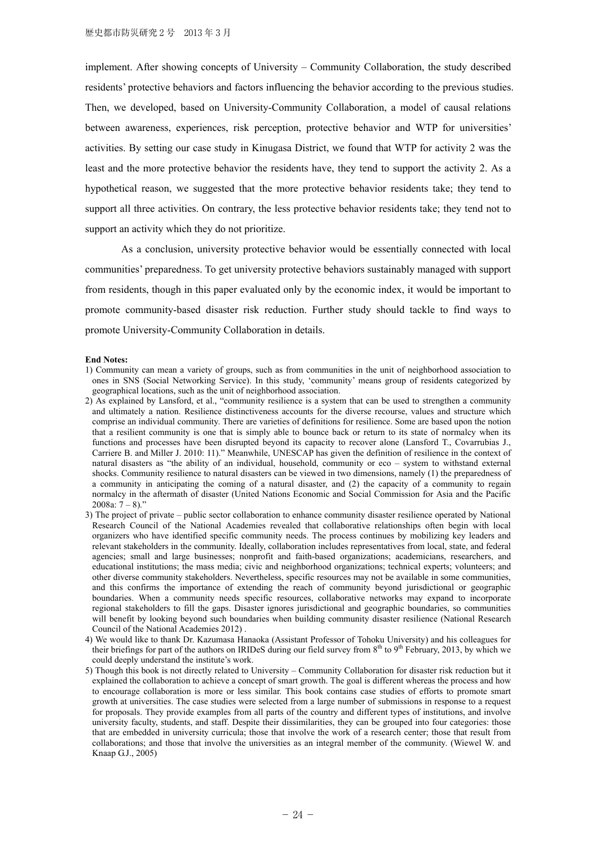implement. After showing concepts of University – Community Collaboration, the study described residents' protective behaviors and factors influencing the behavior according to the previous studies. Then, we developed, based on University-Community Collaboration, a model of causal relations between awareness, experiences, risk perception, protective behavior and WTP for universities' activities. By setting our case study in Kinugasa District, we found that WTP for activity 2 was the least and the more protective behavior the residents have, they tend to support the activity 2. As a hypothetical reason, we suggested that the more protective behavior residents take; they tend to support all three activities. On contrary, the less protective behavior residents take; they tend not to support an activity which they do not prioritize.

As a conclusion, university protective behavior would be essentially connected with local communities' preparedness. To get university protective behaviors sustainably managed with support from residents, though in this paper evaluated only by the economic index, it would be important to promote community-based disaster risk reduction. Further study should tackle to find ways to promote University-Community Collaboration in details.

#### **End Notes:**

- 1) Community can mean a variety of groups, such as from communities in the unit of neighborhood association to ones in SNS (Social Networking Service). In this study, 'community' means group of residents categorized by geographical locations, such as the unit of neighborhood association.
- 2) As explained by Lansford, et al., "community resilience is a system that can be used to strengthen a community and ultimately a nation. Resilience distinctiveness accounts for the diverse recourse, values and structure which comprise an individual community. There are varieties of definitions for resilience. Some are based upon the notion that a resilient community is one that is simply able to bounce back or return to its state of normalcy when its functions and processes have been disrupted beyond its capacity to recover alone (Lansford T., Covarrubias J., Carriere B. and Miller J. 2010: 11)." Meanwhile, UNESCAP has given the definition of resilience in the context of natural disasters as "the ability of an individual, household, community or eco – system to withstand external shocks. Community resilience to natural disasters can be viewed in two dimensions, namely (1) the preparedness of a community in anticipating the coming of a natural disaster, and (2) the capacity of a community to regain normalcy in the aftermath of disaster (United Nations Economic and Social Commission for Asia and the Pacific 2008a:  $7 - 8$ )."
- 3) The project of private public sector collaboration to enhance community disaster resilience operated by National Research Council of the National Academies revealed that collaborative relationships often begin with local organizers who have identified specific community needs. The process continues by mobilizing key leaders and relevant stakeholders in the community. Ideally, collaboration includes representatives from local, state, and federal agencies; small and large businesses; nonprofit and faith-based organizations; academicians, researchers, and educational institutions; the mass media; civic and neighborhood organizations; technical experts; volunteers; and other diverse community stakeholders. Nevertheless, specific resources may not be available in some communities, and this confirms the importance of extending the reach of community beyond jurisdictional or geographic boundaries. When a community needs specific resources, collaborative networks may expand to incorporate regional stakeholders to fill the gaps. Disaster ignores jurisdictional and geographic boundaries, so communities will benefit by looking beyond such boundaries when building community disaster resilience (National Research Council of the National Academies 2012) .
- 4) We would like to thank Dr. Kazumasa Hanaoka (Assistant Professor of Tohoku University) and his colleagues for their briefings for part of the authors on IRIDeS during our field survey from  $8<sup>th</sup>$  to  $9<sup>th</sup>$  February, 2013, by which we could deeply understand the institute's work.
- 5) Though this book is not directly related to University Community Collaboration for disaster risk reduction but it explained the collaboration to achieve a concept of smart growth. The goal is different whereas the process and how to encourage collaboration is more or less similar. This book contains case studies of efforts to promote smart growth at universities. The case studies were selected from a large number of submissions in response to a request for proposals. They provide examples from all parts of the country and different types of institutions, and involve university faculty, students, and staff. Despite their dissimilarities, they can be grouped into four categories: those that are embedded in university curricula; those that involve the work of a research center; those that result from collaborations; and those that involve the universities as an integral member of the community. (Wiewel W. and Knaap G.J., 2005)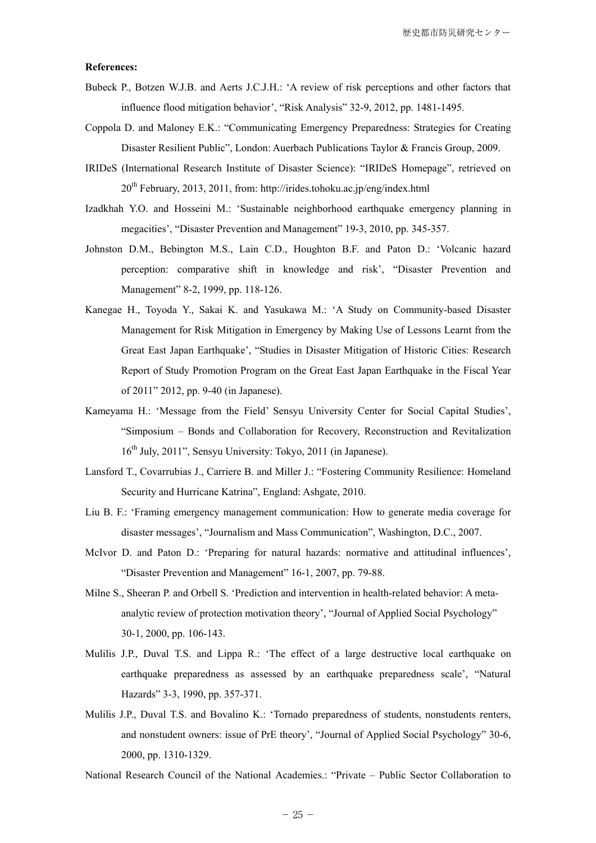#### **References:**

- Bubeck P., Botzen W.J.B. and Aerts J.C.J.H.: 'A review of risk perceptions and other factors that influence flood mitigation behavior', "Risk Analysis" 32-9, 2012, pp. 1481-1495.
- Coppola D. and Maloney E.K.: "Communicating Emergency Preparedness: Strategies for Creating Disaster Resilient Public", London: Auerbach Publications Taylor & Francis Group, 2009.
- IRIDeS (International Research Institute of Disaster Science): "IRIDeS Homepage", retrieved on 20th February, 2013, 2011, from: http://irides.tohoku.ac.jp/eng/index.html
- Izadkhah Y.O. and Hosseini M.: 'Sustainable neighborhood earthquake emergency planning in megacities', "Disaster Prevention and Management" 19-3, 2010, pp. 345-357.
- Johnston D.M., Bebington M.S., Lain C.D., Houghton B.F. and Paton D.: 'Volcanic hazard perception: comparative shift in knowledge and risk', "Disaster Prevention and Management" 8-2, 1999, pp. 118-126.
- Kanegae H., Toyoda Y., Sakai K. and Yasukawa M.: 'A Study on Community-based Disaster Management for Risk Mitigation in Emergency by Making Use of Lessons Learnt from the Great East Japan Earthquake', "Studies in Disaster Mitigation of Historic Cities: Research Report of Study Promotion Program on the Great East Japan Earthquake in the Fiscal Year of 2011" 2012, pp. 9-40 (in Japanese).
- Kameyama H.: 'Message from the Field' Sensyu University Center for Social Capital Studies', "Simposium – Bonds and Collaboration for Recovery, Reconstruction and Revitalization 16<sup>th</sup> July, 2011", Sensyu University: Tokyo, 2011 (in Japanese).
- Lansford T., Covarrubias J., Carriere B. and Miller J.: "Fostering Community Resilience: Homeland Security and Hurricane Katrina", England: Ashgate, 2010.
- Liu B. F.: 'Framing emergency management communication: How to generate media coverage for disaster messages', "Journalism and Mass Communication", Washington, D.C., 2007.
- McIvor D. and Paton D.: 'Preparing for natural hazards: normative and attitudinal influences', "Disaster Prevention and Management" 16-1, 2007, pp. 79-88.
- Milne S., Sheeran P. and Orbell S. 'Prediction and intervention in health-related behavior: A metaanalytic review of protection motivation theory', "Journal of Applied Social Psychology" 30-1, 2000, pp. 106-143.
- Mulilis J.P., Duval T.S. and Lippa R.: 'The effect of a large destructive local earthquake on earthquake preparedness as assessed by an earthquake preparedness scale', "Natural Hazards" 3-3, 1990, pp. 357-371.
- Mulilis J.P., Duval T.S. and Bovalino K.: 'Tornado preparedness of students, nonstudents renters, and nonstudent owners: issue of PrE theory', "Journal of Applied Social Psychology" 30-6, 2000, pp. 1310-1329.
- National Research Council of the National Academies.: "Private Public Sector Collaboration to